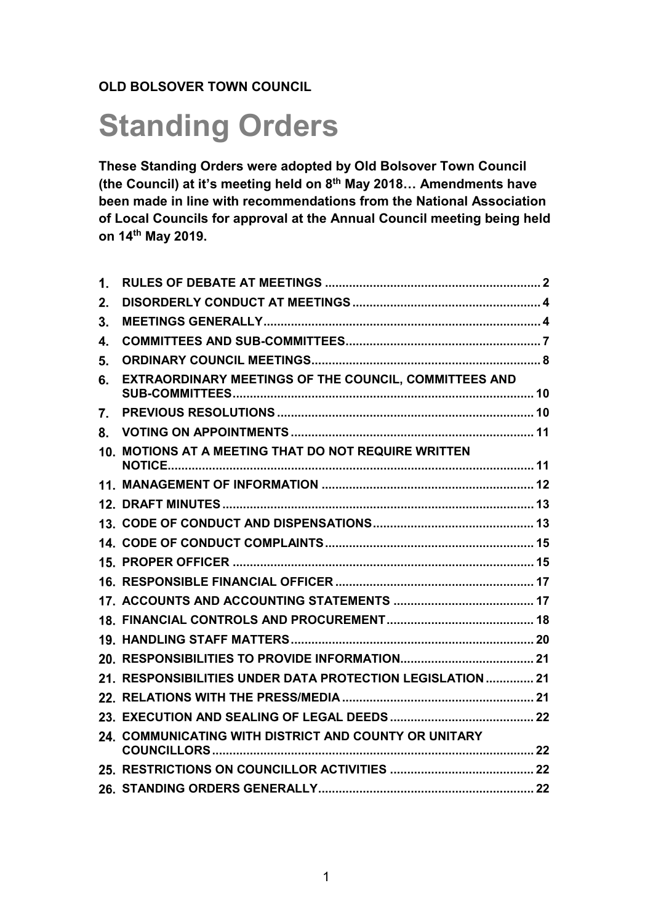# **OLD BOLSOVER TOWN COUNCIL**

# **Standing Orders**

**These Standing Orders were adopted by Old Bolsover Town Council (the Council) at it's meeting held on 8th May 2018… Amendments have been made in line with recommendations from the National Association of Local Councils for approval at the Annual Council meeting being held on 14th May 2019.**

| 1. |                                                            |  |
|----|------------------------------------------------------------|--|
| 2. |                                                            |  |
| 3. |                                                            |  |
| 4. |                                                            |  |
| 5. |                                                            |  |
| 6. | EXTRAORDINARY MEETINGS OF THE COUNCIL, COMMITTEES AND      |  |
| 7. |                                                            |  |
| 8. |                                                            |  |
|    | 10. MOTIONS AT A MEETING THAT DO NOT REQUIRE WRITTEN       |  |
|    |                                                            |  |
|    |                                                            |  |
|    |                                                            |  |
|    |                                                            |  |
|    |                                                            |  |
|    |                                                            |  |
|    |                                                            |  |
|    |                                                            |  |
|    |                                                            |  |
|    |                                                            |  |
|    | 21. RESPONSIBILITIES UNDER DATA PROTECTION LEGISLATION  21 |  |
|    |                                                            |  |
|    |                                                            |  |
|    | 24. COMMUNICATING WITH DISTRICT AND COUNTY OR UNITARY      |  |
|    |                                                            |  |
|    |                                                            |  |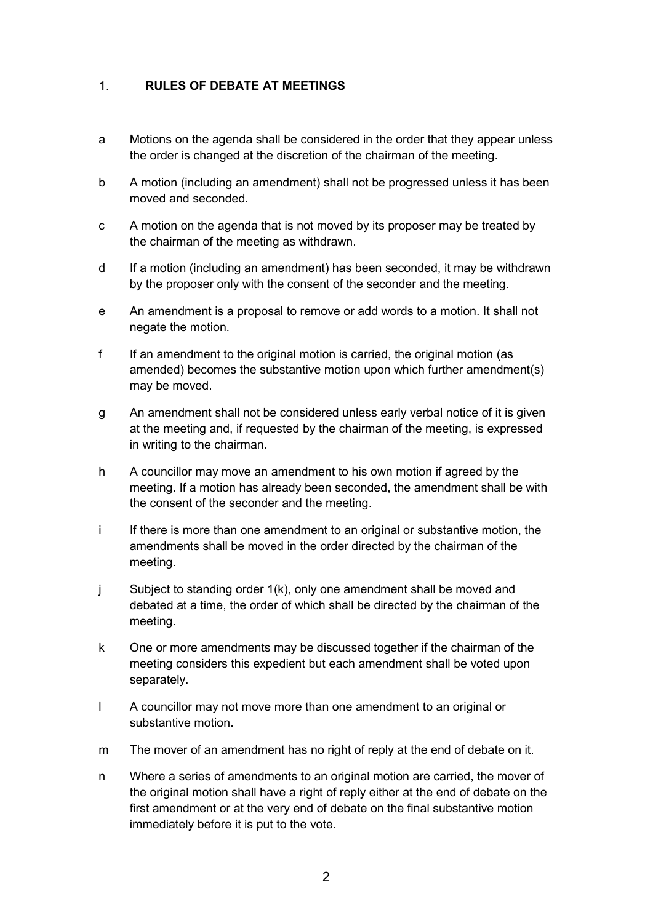#### <span id="page-1-0"></span> $1<sub>1</sub>$ **RULES OF DEBATE AT MEETINGS**

- a Motions on the agenda shall be considered in the order that they appear unless the order is changed at the discretion of the chairman of the meeting.
- b A motion (including an amendment) shall not be progressed unless it has been moved and seconded.
- c A motion on the agenda that is not moved by its proposer may be treated by the chairman of the meeting as withdrawn.
- d If a motion (including an amendment) has been seconded, it may be withdrawn by the proposer only with the consent of the seconder and the meeting.
- e An amendment is a proposal to remove or add words to a motion. It shall not negate the motion.
- f If an amendment to the original motion is carried, the original motion (as amended) becomes the substantive motion upon which further amendment(s) may be moved.
- g An amendment shall not be considered unless early verbal notice of it is given at the meeting and, if requested by the chairman of the meeting, is expressed in writing to the chairman.
- h A councillor may move an amendment to his own motion if agreed by the meeting. If a motion has already been seconded, the amendment shall be with the consent of the seconder and the meeting.
- i If there is more than one amendment to an original or substantive motion, the amendments shall be moved in the order directed by the chairman of the meeting.
- j Subject to standing order 1(k), only one amendment shall be moved and debated at a time, the order of which shall be directed by the chairman of the meeting.
- k One or more amendments may be discussed together if the chairman of the meeting considers this expedient but each amendment shall be voted upon separately.
- l A councillor may not move more than one amendment to an original or substantive motion.
- m The mover of an amendment has no right of reply at the end of debate on it.
- n Where a series of amendments to an original motion are carried, the mover of the original motion shall have a right of reply either at the end of debate on the first amendment or at the very end of debate on the final substantive motion immediately before it is put to the vote.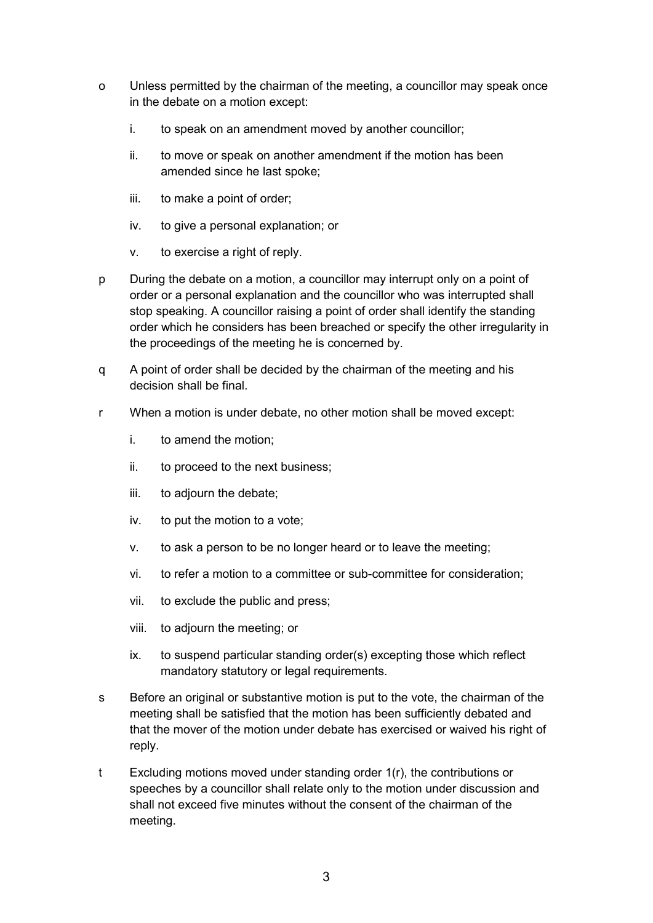- o Unless permitted by the chairman of the meeting, a councillor may speak once in the debate on a motion except:
	- i. to speak on an amendment moved by another councillor;
	- ii. to move or speak on another amendment if the motion has been amended since he last spoke;
	- iii. to make a point of order;
	- iv. to give a personal explanation; or
	- v. to exercise a right of reply.
- p During the debate on a motion, a councillor may interrupt only on a point of order or a personal explanation and the councillor who was interrupted shall stop speaking. A councillor raising a point of order shall identify the standing order which he considers has been breached or specify the other irregularity in the proceedings of the meeting he is concerned by.
- q A point of order shall be decided by the chairman of the meeting and his decision shall be final.
- r When a motion is under debate, no other motion shall be moved except:
	- i. to amend the motion;
	- ii. to proceed to the next business;
	- iii. to adjourn the debate;
	- iv. to put the motion to a vote;
	- v. to ask a person to be no longer heard or to leave the meeting;
	- vi. to refer a motion to a committee or sub-committee for consideration;
	- vii. to exclude the public and press;
	- viii. to adjourn the meeting; or
	- ix. to suspend particular standing order(s) excepting those which reflect mandatory statutory or legal requirements.
- s Before an original or substantive motion is put to the vote, the chairman of the meeting shall be satisfied that the motion has been sufficiently debated and that the mover of the motion under debate has exercised or waived his right of reply.
- t Excluding motions moved under standing order 1(r), the contributions or speeches by a councillor shall relate only to the motion under discussion and shall not exceed five minutes without the consent of the chairman of the meeting.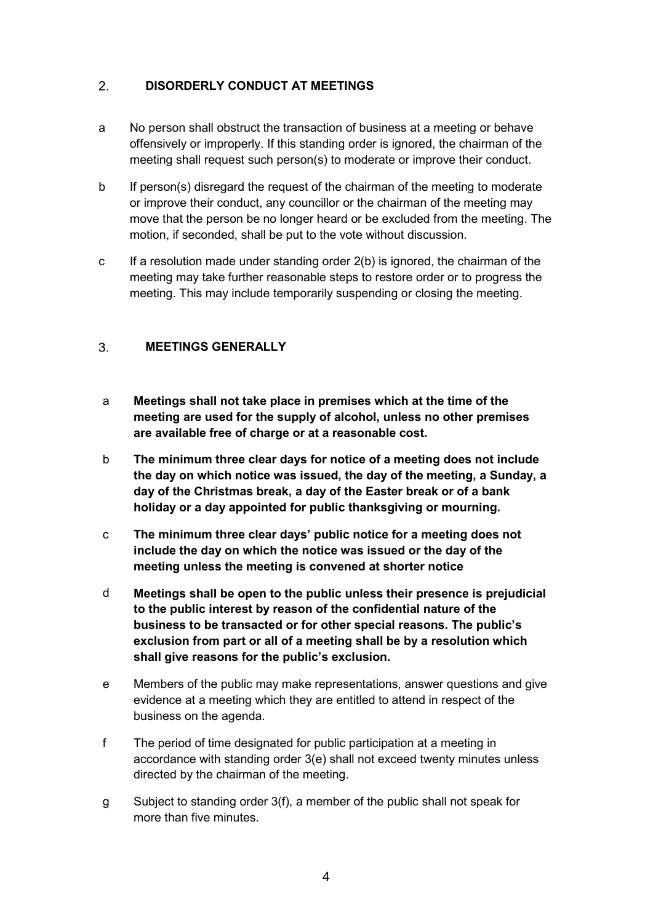#### <span id="page-3-0"></span> $2.$ **DISORDERLY CONDUCT AT MEETINGS**

- a No person shall obstruct the transaction of business at a meeting or behave offensively or improperly. If this standing order is ignored, the chairman of the meeting shall request such person(s) to moderate or improve their conduct.
- b If person(s) disregard the request of the chairman of the meeting to moderate or improve their conduct, any councillor or the chairman of the meeting may move that the person be no longer heard or be excluded from the meeting. The motion, if seconded, shall be put to the vote without discussion.
- c If a resolution made under standing order 2(b) is ignored, the chairman of the meeting may take further reasonable steps to restore order or to progress the meeting. This may include temporarily suspending or closing the meeting.

#### <span id="page-3-1"></span> $3<sub>1</sub>$ **MEETINGS GENERALLY**

- a **Meetings shall not take place in premises which at the time of the meeting are used for the supply of alcohol, unless no other premises are available free of charge or at a reasonable cost.**
- b **The minimum three clear days for notice of a meeting does not include the day on which notice was issued, the day of the meeting, a Sunday, a day of the Christmas break, a day of the Easter break or of a bank holiday or a day appointed for public thanksgiving or mourning.**
- c **The minimum three clear days' public notice for a meeting does not include the day on which the notice was issued or the day of the meeting unless the meeting is convened at shorter notice**
- d **Meetings shall be open to the public unless their presence is prejudicial to the public interest by reason of the confidential nature of the business to be transacted or for other special reasons. The public's exclusion from part or all of a meeting shall be by a resolution which shall give reasons for the public's exclusion.**
- e Members of the public may make representations, answer questions and give evidence at a meeting which they are entitled to attend in respect of the business on the agenda.
- f The period of time designated for public participation at a meeting in accordance with standing order 3(e) shall not exceed twenty minutes unless directed by the chairman of the meeting.
- g Subject to standing order 3(f), a member of the public shall not speak for more than five minutes.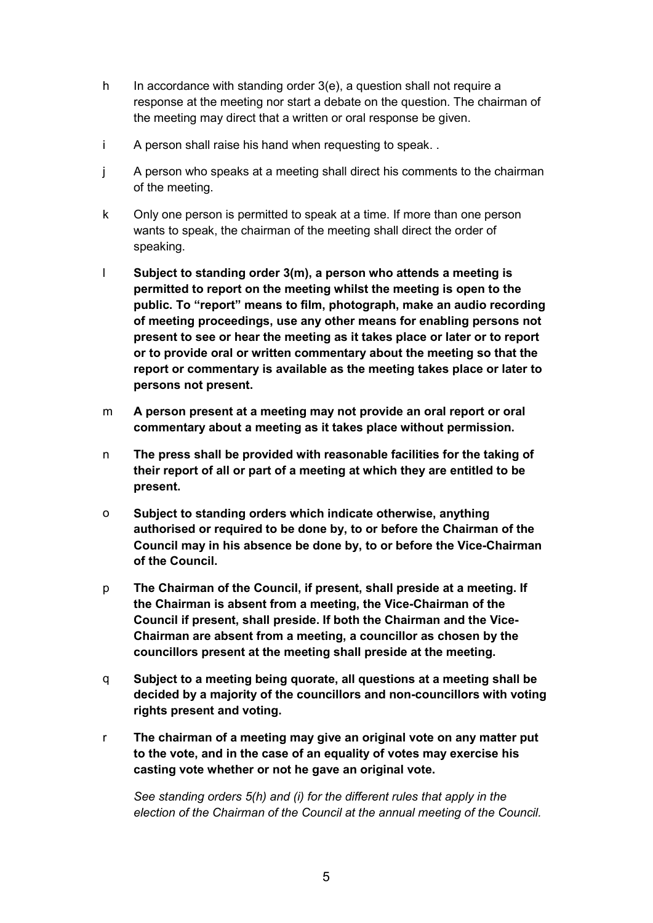- h In accordance with standing order  $3(e)$ , a question shall not require a response at the meeting nor start a debate on the question. The chairman of the meeting may direct that a written or oral response be given.
- i A person shall raise his hand when requesting to speak. .
- j A person who speaks at a meeting shall direct his comments to the chairman of the meeting.
- k Only one person is permitted to speak at a time. If more than one person wants to speak, the chairman of the meeting shall direct the order of speaking.
- l **Subject to standing order 3(m), a person who attends a meeting is permitted to report on the meeting whilst the meeting is open to the public. To "report" means to film, photograph, make an audio recording of meeting proceedings, use any other means for enabling persons not present to see or hear the meeting as it takes place or later or to report or to provide oral or written commentary about the meeting so that the report or commentary is available as the meeting takes place or later to persons not present.**
- m **A person present at a meeting may not provide an oral report or oral commentary about a meeting as it takes place without permission.**
- n **The press shall be provided with reasonable facilities for the taking of their report of all or part of a meeting at which they are entitled to be present.**
- o **Subject to standing orders which indicate otherwise, anything authorised or required to be done by, to or before the Chairman of the Council may in his absence be done by, to or before the Vice-Chairman of the Council.**
- p **The Chairman of the Council, if present, shall preside at a meeting. If the Chairman is absent from a meeting, the Vice-Chairman of the Council if present, shall preside. If both the Chairman and the Vice-Chairman are absent from a meeting, a councillor as chosen by the councillors present at the meeting shall preside at the meeting.**
- q **Subject to a meeting being quorate, all questions at a meeting shall be decided by a majority of the councillors and non-councillors with voting rights present and voting.**
- r **The chairman of a meeting may give an original vote on any matter put to the vote, and in the case of an equality of votes may exercise his casting vote whether or not he gave an original vote.**

*See standing orders 5(h) and (i) for the different rules that apply in the election of the Chairman of the Council at the annual meeting of the Council.*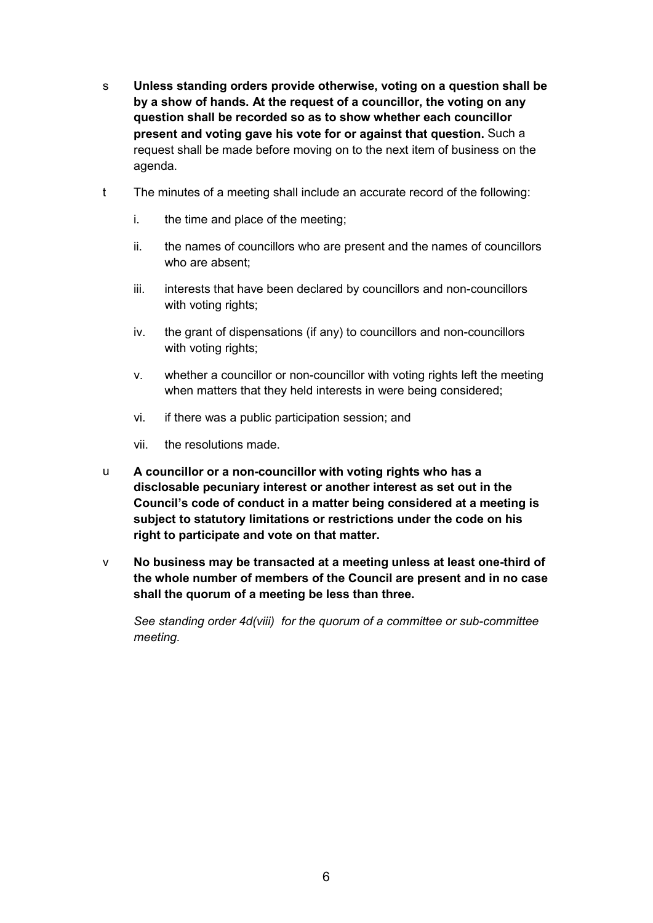- s **Unless standing orders provide otherwise, voting on a question shall be by a show of hands. At the request of a councillor, the voting on any question shall be recorded so as to show whether each councillor present and voting gave his vote for or against that question.** Such a request shall be made before moving on to the next item of business on the agenda.
- t The minutes of a meeting shall include an accurate record of the following:
	- i. the time and place of the meeting;
	- ii. the names of councillors who are present and the names of councillors who are absent;
	- iii. interests that have been declared by councillors and non-councillors with voting rights;
	- iv. the grant of dispensations (if any) to councillors and non-councillors with voting rights;
	- v. whether a councillor or non-councillor with voting rights left the meeting when matters that they held interests in were being considered;
	- vi. if there was a public participation session; and
	- vii. the resolutions made.
- u **A councillor or a non-councillor with voting rights who has a disclosable pecuniary interest or another interest as set out in the Council's code of conduct in a matter being considered at a meeting is subject to statutory limitations or restrictions under the code on his right to participate and vote on that matter.**
- v **No business may be transacted at a meeting unless at least one-third of the whole number of members of the Council are present and in no case shall the quorum of a meeting be less than three.**

*See standing order 4d(viii) for the quorum of a committee or sub-committee meeting.*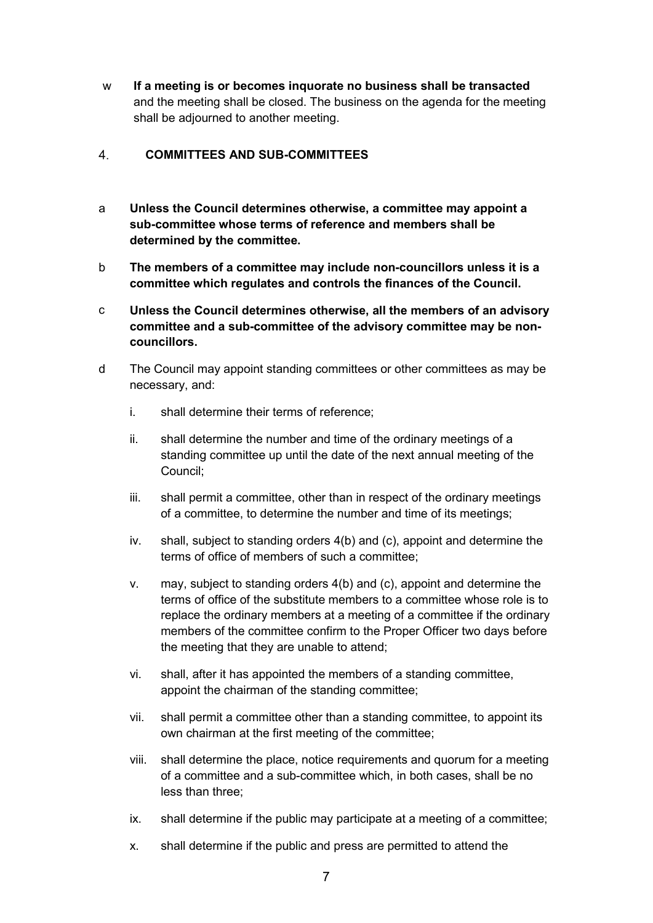w **If a meeting is or becomes inquorate no business shall be transacted** and the meeting shall be closed. The business on the agenda for the meeting shall be adjourned to another meeting.

#### <span id="page-6-0"></span> $\overline{4}$ . **COMMITTEES AND SUB-COMMITTEES**

- a **Unless the Council determines otherwise, a committee may appoint a sub-committee whose terms of reference and members shall be determined by the committee.**
- b **The members of a committee may include non-councillors unless it is a committee which regulates and controls the finances of the Council.**
- c **Unless the Council determines otherwise, all the members of an advisory committee and a sub-committee of the advisory committee may be noncouncillors.**
- d The Council may appoint standing committees or other committees as may be necessary, and:
	- i. shall determine their terms of reference;
	- ii. shall determine the number and time of the ordinary meetings of a standing committee up until the date of the next annual meeting of the Council;
	- iii. shall permit a committee, other than in respect of the ordinary meetings of a committee, to determine the number and time of its meetings;
	- iv. shall, subject to standing orders 4(b) and (c), appoint and determine the terms of office of members of such a committee;
	- v. may, subject to standing orders 4(b) and (c), appoint and determine the terms of office of the substitute members to a committee whose role is to replace the ordinary members at a meeting of a committee if the ordinary members of the committee confirm to the Proper Officer two days before the meeting that they are unable to attend;
	- vi. shall, after it has appointed the members of a standing committee, appoint the chairman of the standing committee;
	- vii. shall permit a committee other than a standing committee, to appoint its own chairman at the first meeting of the committee;
	- viii. shall determine the place, notice requirements and quorum for a meeting of a committee and a sub-committee which, in both cases, shall be no less than three;
	- ix. shall determine if the public may participate at a meeting of a committee;
	- x. shall determine if the public and press are permitted to attend the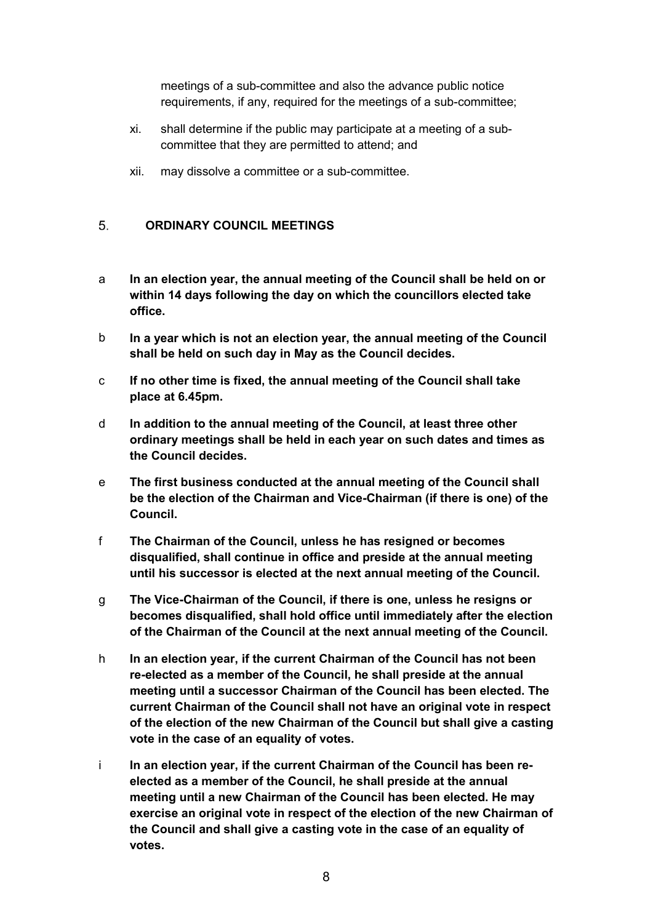meetings of a sub-committee and also the advance public notice requirements, if any, required for the meetings of a sub-committee;

- xi. shall determine if the public may participate at a meeting of a subcommittee that they are permitted to attend; and
- xii. may dissolve a committee or a sub-committee.

#### <span id="page-7-0"></span>**ORDINARY COUNCIL MEETINGS**   $5^{\circ}$

- a **In an election year, the annual meeting of the Council shall be held on or within 14 days following the day on which the councillors elected take office.**
- b **In a year which is not an election year, the annual meeting of the Council shall be held on such day in May as the Council decides.**
- c **If no other time is fixed, the annual meeting of the Council shall take place at 6.45pm.**
- d **In addition to the annual meeting of the Council, at least three other ordinary meetings shall be held in each year on such dates and times as the Council decides.**
- e **The first business conducted at the annual meeting of the Council shall be the election of the Chairman and Vice-Chairman (if there is one) of the Council.**
- f **The Chairman of the Council, unless he has resigned or becomes disqualified, shall continue in office and preside at the annual meeting until his successor is elected at the next annual meeting of the Council.**
- g **The Vice-Chairman of the Council, if there is one, unless he resigns or becomes disqualified, shall hold office until immediately after the election of the Chairman of the Council at the next annual meeting of the Council.**
- h **In an election year, if the current Chairman of the Council has not been re-elected as a member of the Council, he shall preside at the annual meeting until a successor Chairman of the Council has been elected. The current Chairman of the Council shall not have an original vote in respect of the election of the new Chairman of the Council but shall give a casting vote in the case of an equality of votes.**
- i **In an election year, if the current Chairman of the Council has been reelected as a member of the Council, he shall preside at the annual meeting until a new Chairman of the Council has been elected. He may exercise an original vote in respect of the election of the new Chairman of the Council and shall give a casting vote in the case of an equality of votes.**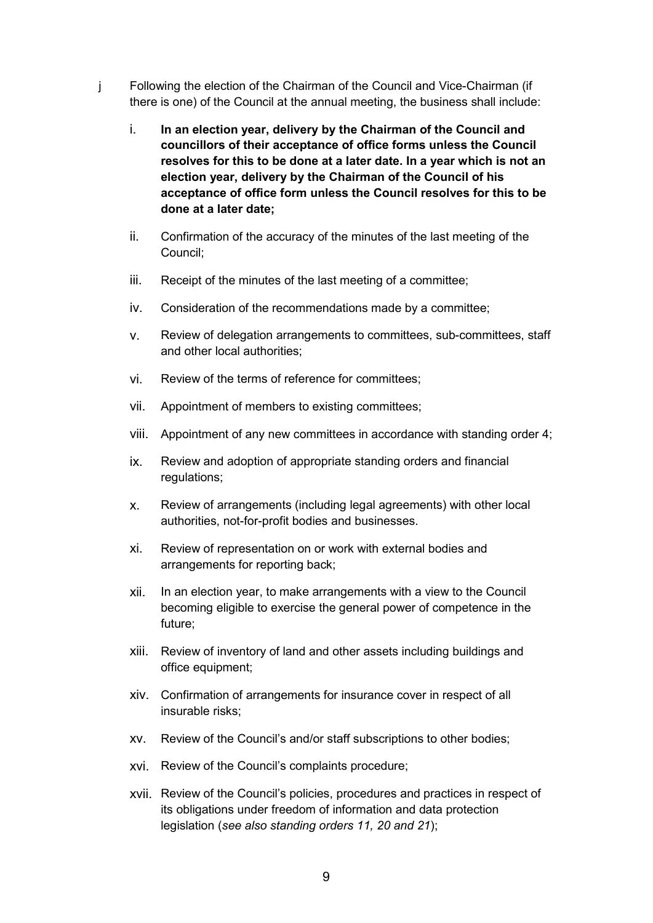- j Following the election of the Chairman of the Council and Vice-Chairman (if there is one) of the Council at the annual meeting, the business shall include:
	- i. **In an election year, delivery by the Chairman of the Council and councillors of their acceptance of office forms unless the Council resolves for this to be done at a later date. In a year which is not an election year, delivery by the Chairman of the Council of his acceptance of office form unless the Council resolves for this to be done at a later date;**
	- ii. Confirmation of the accuracy of the minutes of the last meeting of the Council;
	- iii. Receipt of the minutes of the last meeting of a committee;
	- iv. Consideration of the recommendations made by a committee;
	- v. Review of delegation arrangements to committees, sub-committees, staff and other local authorities;
	- vi. Review of the terms of reference for committees;
	- vii. Appointment of members to existing committees;
	- viii. Appointment of any new committees in accordance with standing order 4;
	- ix. Review and adoption of appropriate standing orders and financial regulations;
	- x. Review of arrangements (including legal agreements) with other local authorities, not-for-profit bodies and businesses.
	- xi. Review of representation on or work with external bodies and arrangements for reporting back;
	- xii. In an election year, to make arrangements with a view to the Council becoming eligible to exercise the general power of competence in the future;
	- xiii. Review of inventory of land and other assets including buildings and office equipment;
	- xiv. Confirmation of arrangements for insurance cover in respect of all insurable risks;
	- xv. Review of the Council's and/or staff subscriptions to other bodies;
	- xvi. Review of the Council's complaints procedure;
	- xvii. Review of the Council's policies, procedures and practices in respect of its obligations under freedom of information and data protection legislation (*see also standing orders 11, 20 and 21*);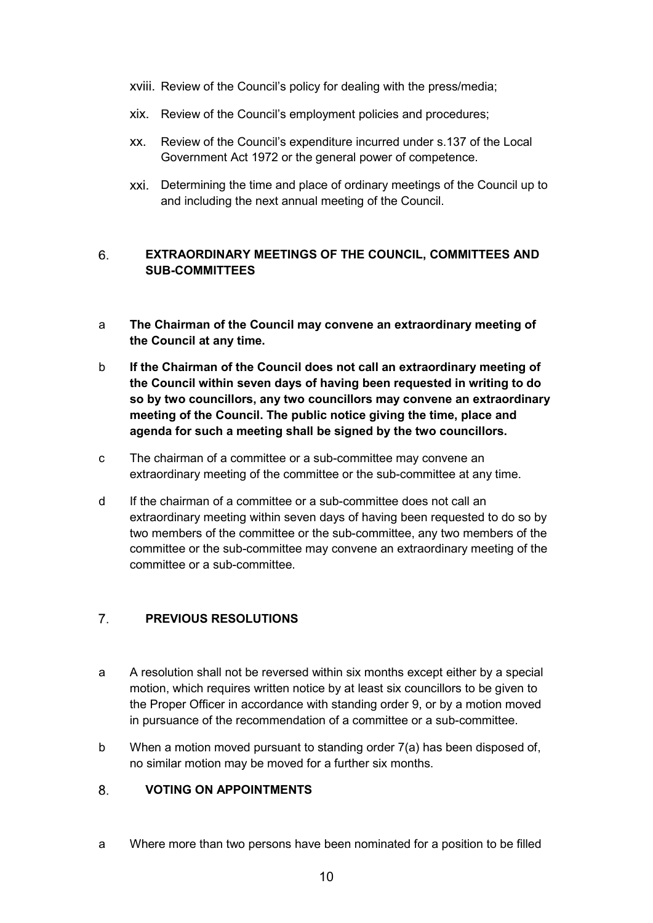- xviii. Review of the Council's policy for dealing with the press/media;
- xix. Review of the Council's employment policies and procedures;
- xx. Review of the Council's expenditure incurred under s.137 of the Local Government Act 1972 or the general power of competence.
- xxi. Determining the time and place of ordinary meetings of the Council up to and including the next annual meeting of the Council.

### <span id="page-9-0"></span>6. **EXTRAORDINARY MEETINGS OF THE COUNCIL, COMMITTEES AND SUB-COMMITTEES**

- a **The Chairman of the Council may convene an extraordinary meeting of the Council at any time.**
- b **If the Chairman of the Council does not call an extraordinary meeting of the Council within seven days of having been requested in writing to do so by two councillors, any two councillors may convene an extraordinary meeting of the Council. The public notice giving the time, place and agenda for such a meeting shall be signed by the two councillors.**
- c The chairman of a committee or a sub-committee may convene an extraordinary meeting of the committee or the sub-committee at any time.
- d If the chairman of a committee or a sub-committee does not call an extraordinary meeting within seven days of having been requested to do so by two members of the committee or the sub-committee, any two members of the committee or the sub-committee may convene an extraordinary meeting of the committee or a sub-committee.

#### <span id="page-9-1"></span> $\overline{7}$ . **PREVIOUS RESOLUTIONS**

- a A resolution shall not be reversed within six months except either by a special motion, which requires written notice by at least six councillors to be given to the Proper Officer in accordance with standing order 9, or by a motion moved in pursuance of the recommendation of a committee or a sub-committee.
- b When a motion moved pursuant to standing order 7(a) has been disposed of, no similar motion may be moved for a further six months.

#### <span id="page-9-2"></span>**VOTING ON APPOINTMENTS** 8.

a Where more than two persons have been nominated for a position to be filled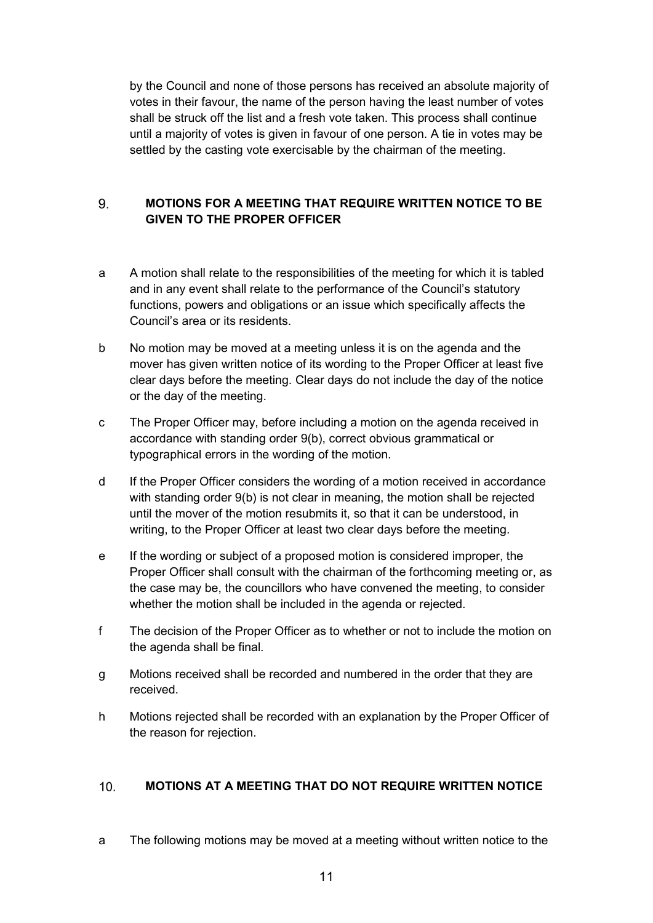by the Council and none of those persons has received an absolute majority of votes in their favour, the name of the person having the least number of votes shall be struck off the list and a fresh vote taken. This process shall continue until a majority of votes is given in favour of one person. A tie in votes may be settled by the casting vote exercisable by the chairman of the meeting.

## 9 **MOTIONS FOR A MEETING THAT REQUIRE WRITTEN NOTICE TO BE GIVEN TO THE PROPER OFFICER**

- a A motion shall relate to the responsibilities of the meeting for which it is tabled and in any event shall relate to the performance of the Council's statutory functions, powers and obligations or an issue which specifically affects the Council's area or its residents.
- b No motion may be moved at a meeting unless it is on the agenda and the mover has given written notice of its wording to the Proper Officer at least five clear days before the meeting. Clear days do not include the day of the notice or the day of the meeting.
- c The Proper Officer may, before including a motion on the agenda received in accordance with standing order 9(b), correct obvious grammatical or typographical errors in the wording of the motion.
- d If the Proper Officer considers the wording of a motion received in accordance with standing order 9(b) is not clear in meaning, the motion shall be rejected until the mover of the motion resubmits it, so that it can be understood, in writing, to the Proper Officer at least two clear days before the meeting.
- e If the wording or subject of a proposed motion is considered improper, the Proper Officer shall consult with the chairman of the forthcoming meeting or, as the case may be, the councillors who have convened the meeting, to consider whether the motion shall be included in the agenda or rejected.
- f The decision of the Proper Officer as to whether or not to include the motion on the agenda shall be final.
- g Motions received shall be recorded and numbered in the order that they are received.
- h Motions rejected shall be recorded with an explanation by the Proper Officer of the reason for rejection.

#### <span id="page-10-0"></span> $10<sub>1</sub>$ **MOTIONS AT A MEETING THAT DO NOT REQUIRE WRITTEN NOTICE**

a The following motions may be moved at a meeting without written notice to the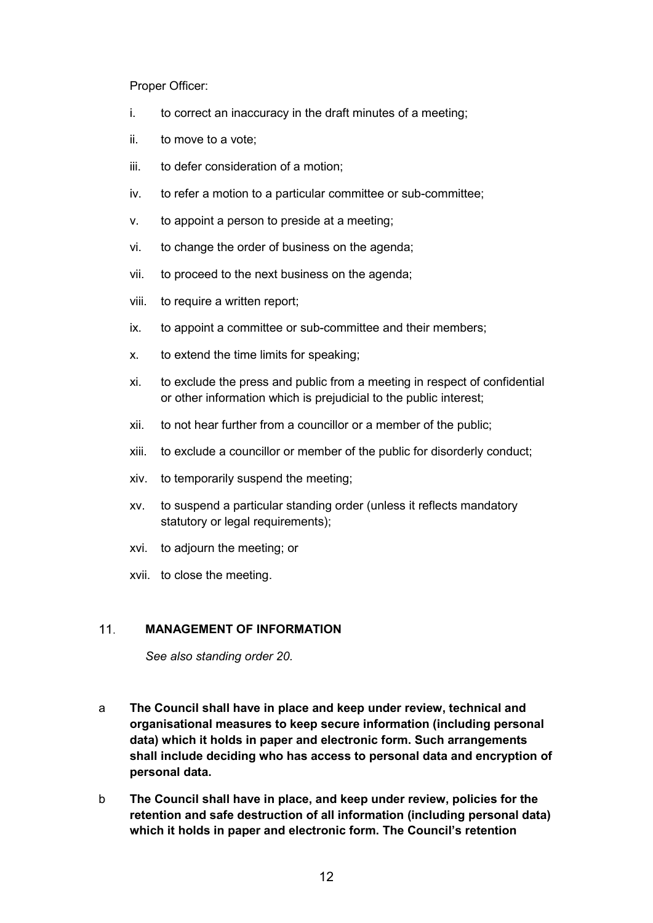Proper Officer:

- i. to correct an inaccuracy in the draft minutes of a meeting;
- ii. to move to a vote;
- iii. to defer consideration of a motion;
- iv. to refer a motion to a particular committee or sub-committee;
- v. to appoint a person to preside at a meeting;
- vi. to change the order of business on the agenda;
- vii. to proceed to the next business on the agenda;
- viii. to require a written report;
- ix. to appoint a committee or sub-committee and their members;
- x. to extend the time limits for speaking;
- xi. to exclude the press and public from a meeting in respect of confidential or other information which is prejudicial to the public interest;
- xii. to not hear further from a councillor or a member of the public;
- xiii. to exclude a councillor or member of the public for disorderly conduct;
- xiv. to temporarily suspend the meeting;
- xv. to suspend a particular standing order (unless it reflects mandatory statutory or legal requirements);
- xvi. to adjourn the meeting; or
- xvii. to close the meeting.

#### <span id="page-11-0"></span> $11.$ **MANAGEMENT OF INFORMATION**

*See also standing order 20.*

- a **The Council shall have in place and keep under review, technical and organisational measures to keep secure information (including personal data) which it holds in paper and electronic form. Such arrangements shall include deciding who has access to personal data and encryption of personal data.**
- b **The Council shall have in place, and keep under review, policies for the retention and safe destruction of all information (including personal data) which it holds in paper and electronic form. The Council's retention**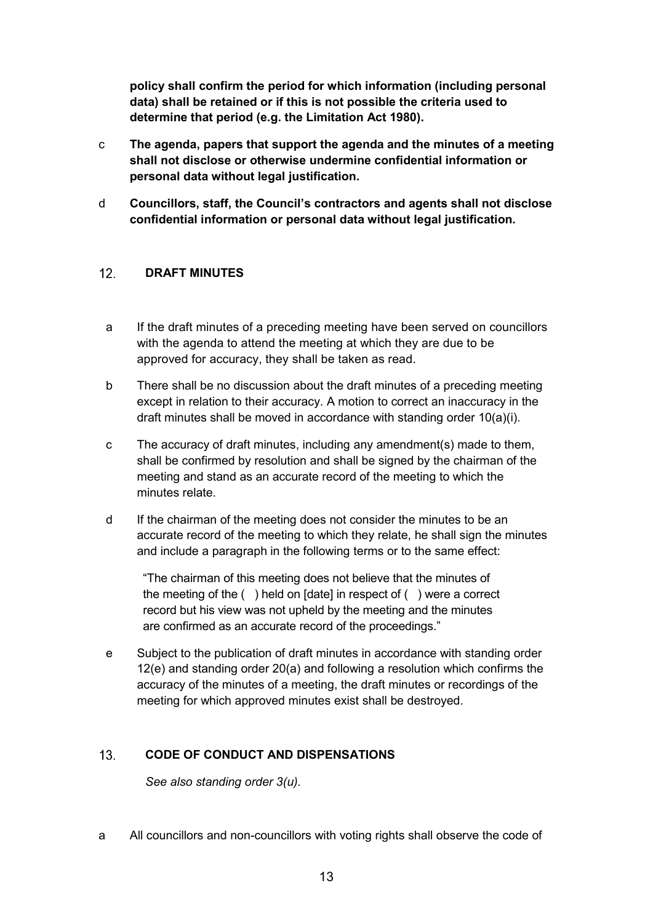**policy shall confirm the period for which information (including personal data) shall be retained or if this is not possible the criteria used to determine that period (e.g. the Limitation Act 1980).**

- c **The agenda, papers that support the agenda and the minutes of a meeting shall not disclose or otherwise undermine confidential information or personal data without legal justification.**
- d **Councillors, staff, the Council's contractors and agents shall not disclose confidential information or personal data without legal justification.**

#### <span id="page-12-0"></span> $12.$ **DRAFT MINUTES**

- a If the draft minutes of a preceding meeting have been served on councillors with the agenda to attend the meeting at which they are due to be approved for accuracy, they shall be taken as read.
- b There shall be no discussion about the draft minutes of a preceding meeting except in relation to their accuracy. A motion to correct an inaccuracy in the draft minutes shall be moved in accordance with standing order 10(a)(i).
- c The accuracy of draft minutes, including any amendment(s) made to them, shall be confirmed by resolution and shall be signed by the chairman of the meeting and stand as an accurate record of the meeting to which the minutes relate.
- d If the chairman of the meeting does not consider the minutes to be an accurate record of the meeting to which they relate, he shall sign the minutes and include a paragraph in the following terms or to the same effect:

"The chairman of this meeting does not believe that the minutes of the meeting of the ( ) held on [date] in respect of ( ) were a correct record but his view was not upheld by the meeting and the minutes are confirmed as an accurate record of the proceedings."

e Subject to the publication of draft minutes in accordance with standing order 12(e) and standing order 20(a) and following a resolution which confirms the accuracy of the minutes of a meeting, the draft minutes or recordings of the meeting for which approved minutes exist shall be destroyed.

#### <span id="page-12-1"></span> $13<sub>1</sub>$ **CODE OF CONDUCT AND DISPENSATIONS**

*See also standing order 3(u).*

a All councillors and non-councillors with voting rights shall observe the code of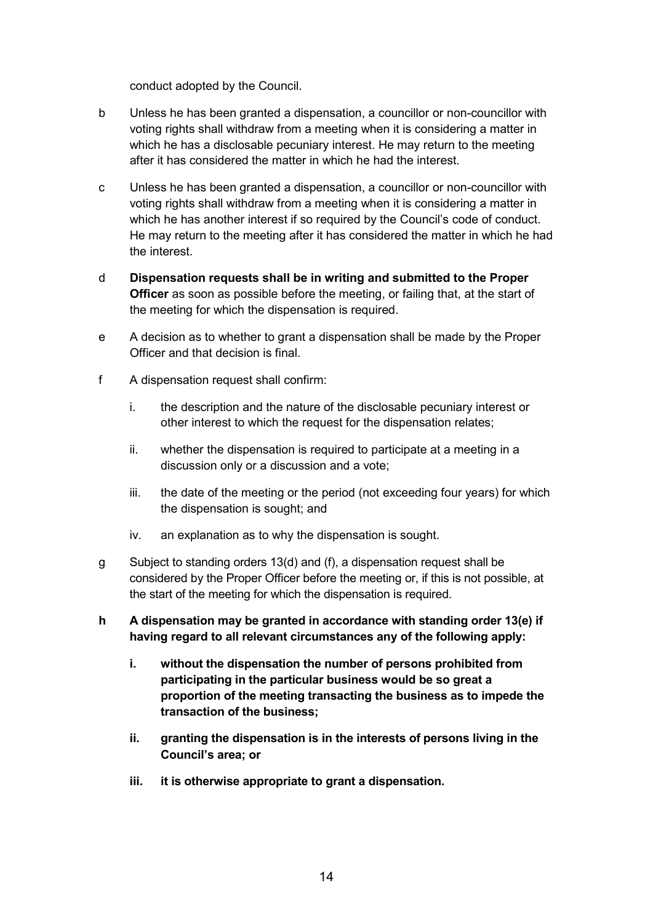conduct adopted by the Council.

- b Unless he has been granted a dispensation, a councillor or non-councillor with voting rights shall withdraw from a meeting when it is considering a matter in which he has a disclosable pecuniary interest. He may return to the meeting after it has considered the matter in which he had the interest.
- c Unless he has been granted a dispensation, a councillor or non-councillor with voting rights shall withdraw from a meeting when it is considering a matter in which he has another interest if so required by the Council's code of conduct. He may return to the meeting after it has considered the matter in which he had the interest.
- d **Dispensation requests shall be in writing and submitted to the Proper Officer** as soon as possible before the meeting, or failing that, at the start of the meeting for which the dispensation is required.
- e A decision as to whether to grant a dispensation shall be made by the Proper Officer and that decision is final.
- f A dispensation request shall confirm:
	- i. the description and the nature of the disclosable pecuniary interest or other interest to which the request for the dispensation relates;
	- ii. whether the dispensation is required to participate at a meeting in a discussion only or a discussion and a vote;
	- iii. the date of the meeting or the period (not exceeding four years) for which the dispensation is sought; and
	- iv. an explanation as to why the dispensation is sought.
- g Subject to standing orders 13(d) and (f), a dispensation request shall be considered by the Proper Officer before the meeting or, if this is not possible, at the start of the meeting for which the dispensation is required.
- **h A dispensation may be granted in accordance with standing order 13(e) if having regard to all relevant circumstances any of the following apply:**
	- **i. without the dispensation the number of persons prohibited from participating in the particular business would be so great a proportion of the meeting transacting the business as to impede the transaction of the business;**
	- **ii. granting the dispensation is in the interests of persons living in the Council's area; or**
	- **iii. it is otherwise appropriate to grant a dispensation.**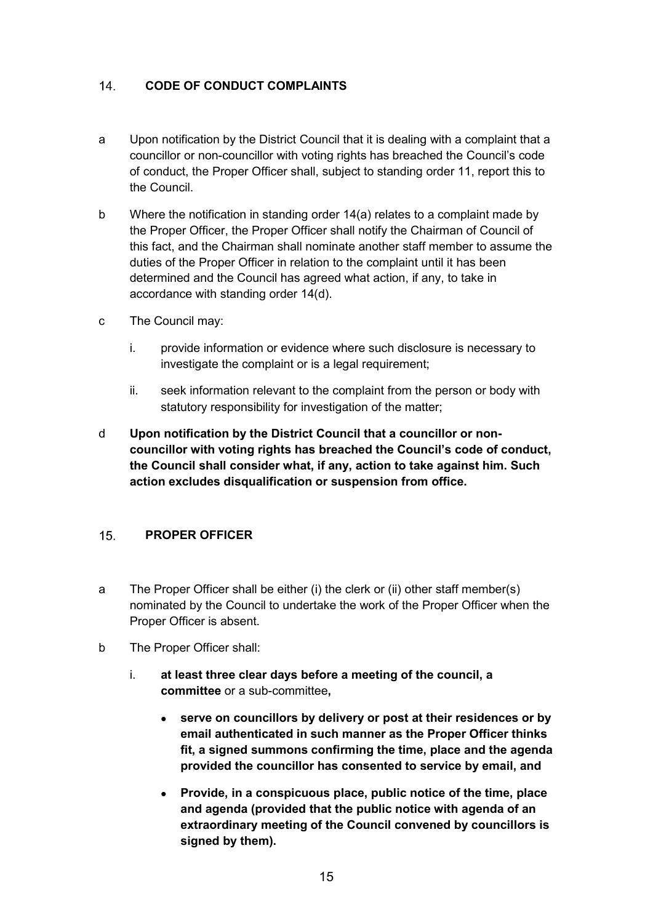#### <span id="page-14-0"></span> $14.$ **CODE OF CONDUCT COMPLAINTS**

- a Upon notification by the District Council that it is dealing with a complaint that a councillor or non-councillor with voting rights has breached the Council's code of conduct, the Proper Officer shall, subject to standing order 11, report this to the Council.
- b Where the notification in standing order 14(a) relates to a complaint made by the Proper Officer, the Proper Officer shall notify the Chairman of Council of this fact, and the Chairman shall nominate another staff member to assume the duties of the Proper Officer in relation to the complaint until it has been determined and the Council has agreed what action, if any, to take in accordance with standing order 14(d).
- c The Council may:
	- i. provide information or evidence where such disclosure is necessary to investigate the complaint or is a legal requirement;
	- ii. seek information relevant to the complaint from the person or body with statutory responsibility for investigation of the matter;
- d **Upon notification by the District Council that a councillor or noncouncillor with voting rights has breached the Council's code of conduct, the Council shall consider what, if any, action to take against him. Such action excludes disqualification or suspension from office.**

#### <span id="page-14-1"></span> $15<sub>1</sub>$ **PROPER OFFICER**

- a The Proper Officer shall be either (i) the clerk or (ii) other staff member(s) nominated by the Council to undertake the work of the Proper Officer when the Proper Officer is absent.
- b The Proper Officer shall:
	- i. **at least three clear days before a meeting of the council, a committee** or a sub-committee**,**
		- **serve on councillors by delivery or post at their residences or by email authenticated in such manner as the Proper Officer thinks fit, a signed summons confirming the time, place and the agenda provided the councillor has consented to service by email, and**
		- **Provide, in a conspicuous place, public notice of the time, place and agenda (provided that the public notice with agenda of an extraordinary meeting of the Council convened by councillors is signed by them).**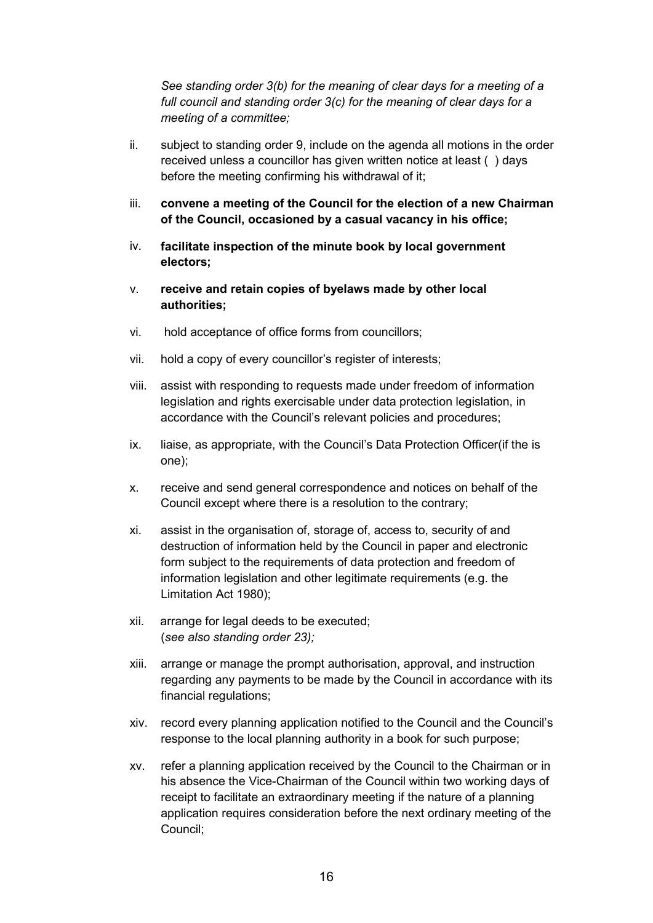*See standing order 3(b) for the meaning of clear days for a meeting of a full council and standing order 3(c) for the meaning of clear days for a meeting of a committee;*

- ii. subject to standing order 9, include on the agenda all motions in the order received unless a councillor has given written notice at least ( ) days before the meeting confirming his withdrawal of it;
- iii. **convene a meeting of the Council for the election of a new Chairman of the Council, occasioned by a casual vacancy in his office;**
- iv. **facilitate inspection of the minute book by local government electors;**
- v. **receive and retain copies of byelaws made by other local authorities;**
- vi. hold acceptance of office forms from councillors;
- vii. hold a copy of every councillor's register of interests;
- viii. assist with responding to requests made under freedom of information legislation and rights exercisable under data protection legislation, in accordance with the Council's relevant policies and procedures;
- ix. liaise, as appropriate, with the Council's Data Protection Officer(if the is one);
- x. receive and send general correspondence and notices on behalf of the Council except where there is a resolution to the contrary;
- xi. assist in the organisation of, storage of, access to, security of and destruction of information held by the Council in paper and electronic form subject to the requirements of data protection and freedom of information legislation and other legitimate requirements (e.g. the Limitation Act 1980);
- xii. arrange for legal deeds to be executed; (*see also standing order 23);*
- xiii. arrange or manage the prompt authorisation, approval, and instruction regarding any payments to be made by the Council in accordance with its financial regulations;
- xiv. record every planning application notified to the Council and the Council's response to the local planning authority in a book for such purpose;
- xv. refer a planning application received by the Council to the Chairman or in his absence the Vice-Chairman of the Council within two working days of receipt to facilitate an extraordinary meeting if the nature of a planning application requires consideration before the next ordinary meeting of the Council;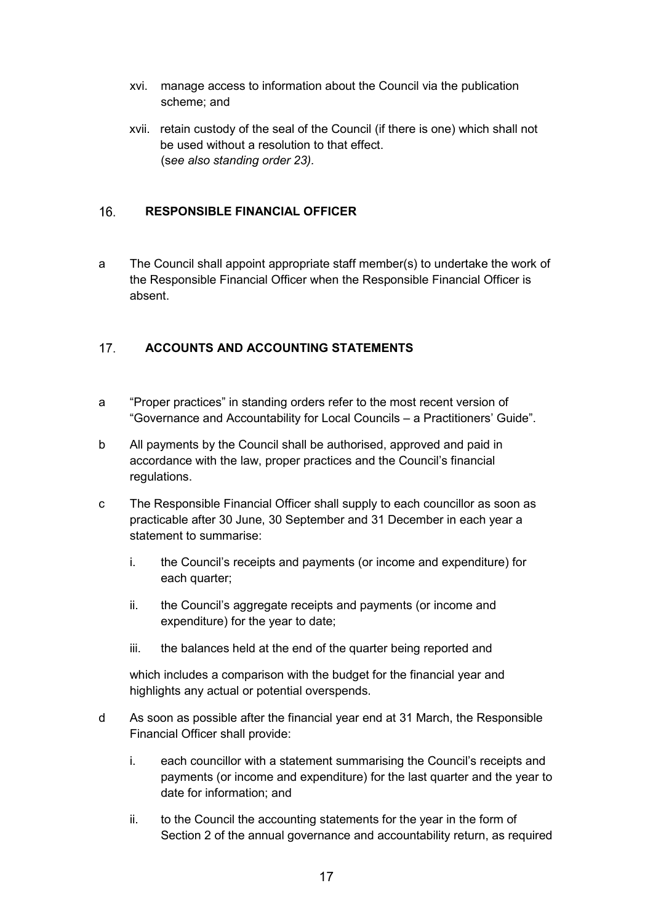- xvi. manage access to information about the Council via the publication scheme; and
- xvii. retain custody of the seal of the Council (if there is one) which shall not be used without a resolution to that effect. (s*ee also standing order 23).*

#### <span id="page-16-0"></span> $16.$ **RESPONSIBLE FINANCIAL OFFICER**

a The Council shall appoint appropriate staff member(s) to undertake the work of the Responsible Financial Officer when the Responsible Financial Officer is absent.

#### <span id="page-16-1"></span> $17<sub>1</sub>$ **ACCOUNTS AND ACCOUNTING STATEMENTS**

- a "Proper practices" in standing orders refer to the most recent version of "Governance and Accountability for Local Councils – a Practitioners' Guide".
- b All payments by the Council shall be authorised, approved and paid in accordance with the law, proper practices and the Council's financial regulations.
- c The Responsible Financial Officer shall supply to each councillor as soon as practicable after 30 June, 30 September and 31 December in each year a statement to summarise:
	- i. the Council's receipts and payments (or income and expenditure) for each quarter;
	- ii. the Council's aggregate receipts and payments (or income and expenditure) for the year to date;
	- iii. the balances held at the end of the quarter being reported and

which includes a comparison with the budget for the financial year and highlights any actual or potential overspends.

- d As soon as possible after the financial year end at 31 March, the Responsible Financial Officer shall provide:
	- i. each councillor with a statement summarising the Council's receipts and payments (or income and expenditure) for the last quarter and the year to date for information; and
	- ii. to the Council the accounting statements for the year in the form of Section 2 of the annual governance and accountability return, as required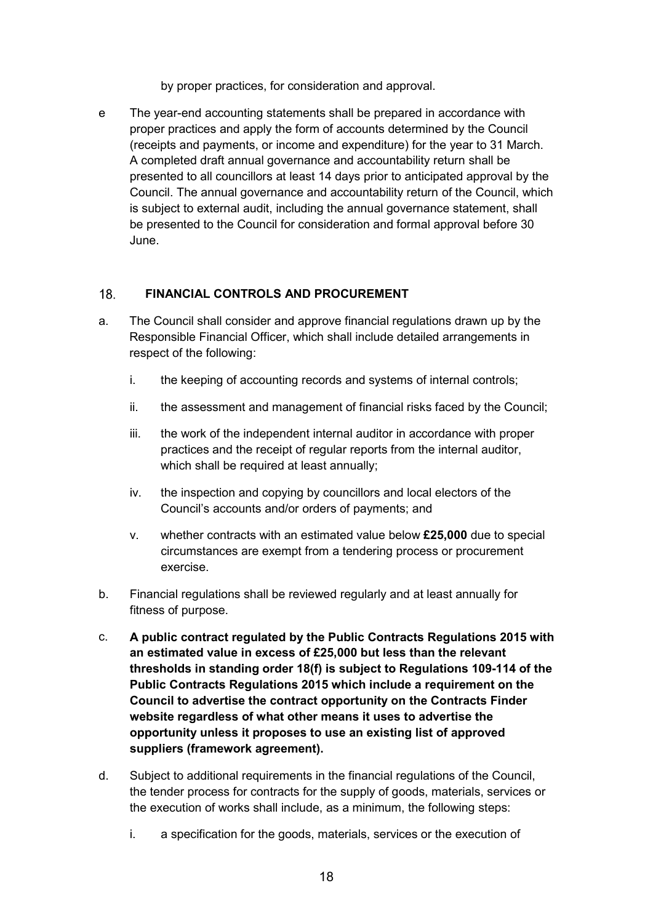by proper practices, for consideration and approval.

e The year-end accounting statements shall be prepared in accordance with proper practices and apply the form of accounts determined by the Council (receipts and payments, or income and expenditure) for the year to 31 March. A completed draft annual governance and accountability return shall be presented to all councillors at least 14 days prior to anticipated approval by the Council. The annual governance and accountability return of the Council, which is subject to external audit, including the annual governance statement, shall be presented to the Council for consideration and formal approval before 30 June.

#### <span id="page-17-0"></span> $18.$ **FINANCIAL CONTROLS AND PROCUREMENT**

- a. The Council shall consider and approve financial regulations drawn up by the Responsible Financial Officer, which shall include detailed arrangements in respect of the following:
	- i. the keeping of accounting records and systems of internal controls;
	- ii. the assessment and management of financial risks faced by the Council;
	- iii. the work of the independent internal auditor in accordance with proper practices and the receipt of regular reports from the internal auditor, which shall be required at least annually;
	- iv. the inspection and copying by councillors and local electors of the Council's accounts and/or orders of payments; and
	- v. whether contracts with an estimated value below **£25,000** due to special circumstances are exempt from a tendering process or procurement exercise.
- b. Financial regulations shall be reviewed regularly and at least annually for fitness of purpose.
- c. **A public contract regulated by the Public Contracts Regulations 2015 with an estimated value in excess of £25,000 but less than the relevant thresholds in standing order 18(f) is subject to Regulations 109-114 of the Public Contracts Regulations 2015 which include a requirement on the Council to advertise the contract opportunity on the Contracts Finder website regardless of what other means it uses to advertise the opportunity unless it proposes to use an existing list of approved suppliers (framework agreement).**
- d. Subject to additional requirements in the financial regulations of the Council, the tender process for contracts for the supply of goods, materials, services or the execution of works shall include, as a minimum, the following steps:
	- i. a specification for the goods, materials, services or the execution of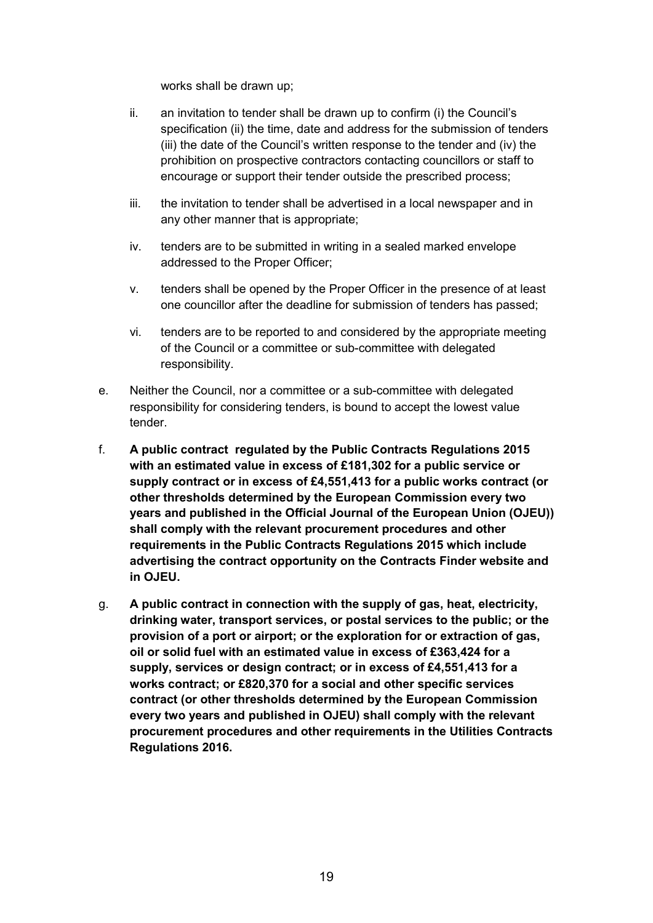works shall be drawn up;

- ii. an invitation to tender shall be drawn up to confirm (i) the Council's specification (ii) the time, date and address for the submission of tenders (iii) the date of the Council's written response to the tender and (iv) the prohibition on prospective contractors contacting councillors or staff to encourage or support their tender outside the prescribed process;
- iii. the invitation to tender shall be advertised in a local newspaper and in any other manner that is appropriate;
- iv. tenders are to be submitted in writing in a sealed marked envelope addressed to the Proper Officer;
- v. tenders shall be opened by the Proper Officer in the presence of at least one councillor after the deadline for submission of tenders has passed;
- vi. tenders are to be reported to and considered by the appropriate meeting of the Council or a committee or sub-committee with delegated responsibility.
- e. Neither the Council, nor a committee or a sub-committee with delegated responsibility for considering tenders, is bound to accept the lowest value tender.
- f. **A public contract regulated by the Public Contracts Regulations 2015 with an estimated value in excess of £181,302 for a public service or supply contract or in excess of £4,551,413 for a public works contract (or other thresholds determined by the European Commission every two years and published in the Official Journal of the European Union (OJEU)) shall comply with the relevant procurement procedures and other requirements in the Public Contracts Regulations 2015 which include advertising the contract opportunity on the Contracts Finder website and in OJEU.**
- g. **A public contract in connection with the supply of gas, heat, electricity, drinking water, transport services, or postal services to the public; or the provision of a port or airport; or the exploration for or extraction of gas, oil or solid fuel with an estimated value in excess of £363,424 for a supply, services or design contract; or in excess of £4,551,413 for a works contract; or £820,370 for a social and other specific services contract (or other thresholds determined by the European Commission every two years and published in OJEU) shall comply with the relevant procurement procedures and other requirements in the Utilities Contracts Regulations 2016.**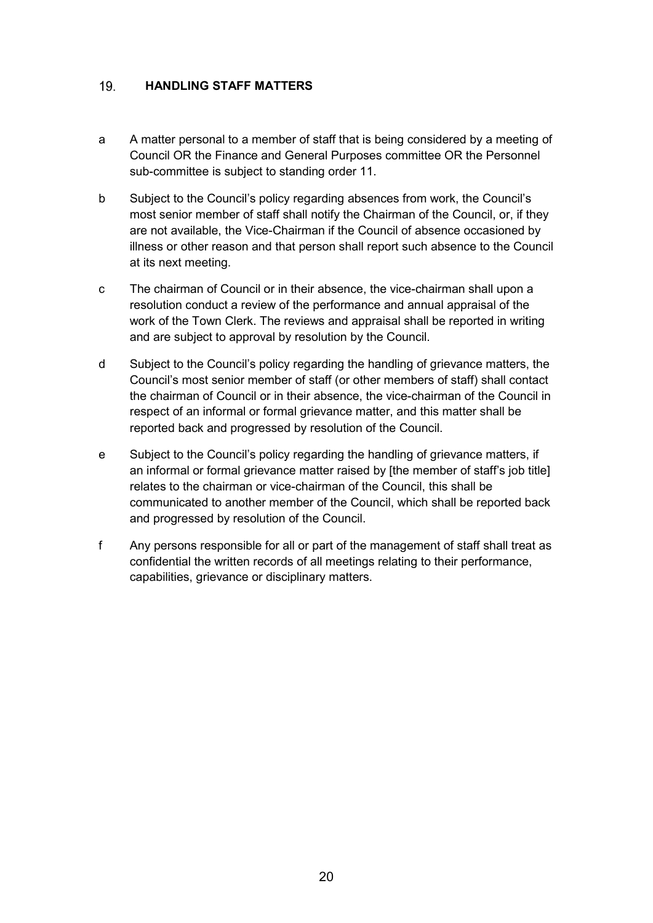#### <span id="page-19-0"></span>19. **HANDLING STAFF MATTERS**

- a A matter personal to a member of staff that is being considered by a meeting of Council OR the Finance and General Purposes committee OR the Personnel sub-committee is subject to standing order 11.
- b Subject to the Council's policy regarding absences from work, the Council's most senior member of staff shall notify the Chairman of the Council, or, if they are not available, the Vice-Chairman if the Council of absence occasioned by illness or other reason and that person shall report such absence to the Council at its next meeting.
- c The chairman of Council or in their absence, the vice-chairman shall upon a resolution conduct a review of the performance and annual appraisal of the work of the Town Clerk. The reviews and appraisal shall be reported in writing and are subject to approval by resolution by the Council.
- d Subject to the Council's policy regarding the handling of grievance matters, the Council's most senior member of staff (or other members of staff) shall contact the chairman of Council or in their absence, the vice-chairman of the Council in respect of an informal or formal grievance matter, and this matter shall be reported back and progressed by resolution of the Council.
- e Subject to the Council's policy regarding the handling of grievance matters, if an informal or formal grievance matter raised by [the member of staff's job title] relates to the chairman or vice-chairman of the Council, this shall be communicated to another member of the Council, which shall be reported back and progressed by resolution of the Council.
- f Any persons responsible for all or part of the management of staff shall treat as confidential the written records of all meetings relating to their performance, capabilities, grievance or disciplinary matters.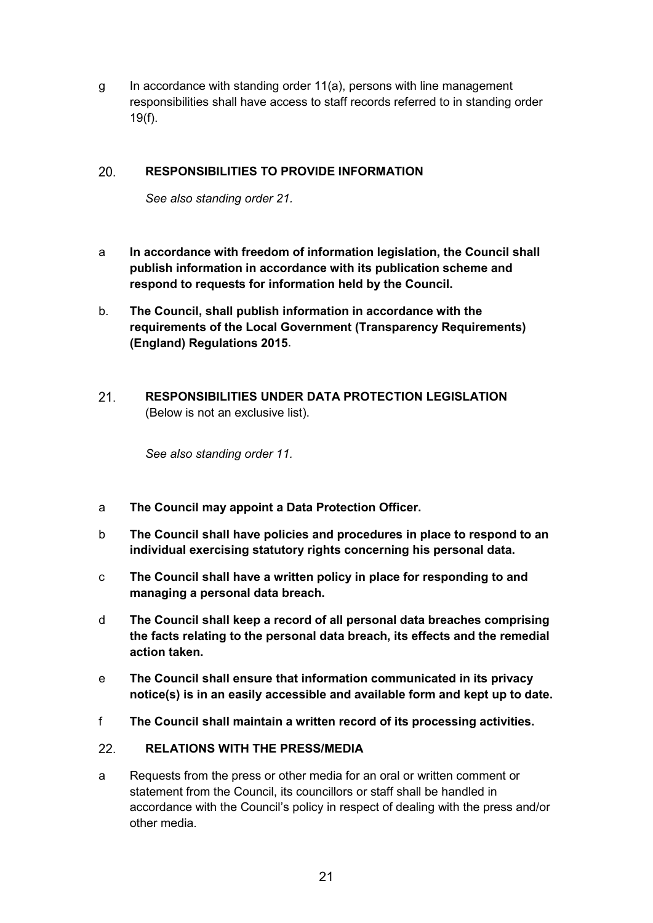g In accordance with standing order 11(a), persons with line management responsibilities shall have access to staff records referred to in standing order 19(f).

#### <span id="page-20-0"></span>20. **RESPONSIBILITIES TO PROVIDE INFORMATION**

*See also standing order 21.*

- a **In accordance with freedom of information legislation, the Council shall publish information in accordance with its publication scheme and respond to requests for information held by the Council.**
- b. **The Council, shall publish information in accordance with the requirements of the Local Government (Transparency Requirements) (England) Regulations 2015**.
- <span id="page-20-1"></span> $21.$ **RESPONSIBILITIES UNDER DATA PROTECTION LEGISLATION**  (Below is not an exclusive list).

*See also standing order 11.*

- a **The Council may appoint a Data Protection Officer.**
- b **The Council shall have policies and procedures in place to respond to an individual exercising statutory rights concerning his personal data.**
- c **The Council shall have a written policy in place for responding to and managing a personal data breach.**
- d **The Council shall keep a record of all personal data breaches comprising the facts relating to the personal data breach, its effects and the remedial action taken.**
- e **The Council shall ensure that information communicated in its privacy notice(s) is in an easily accessible and available form and kept up to date.**
- f **The Council shall maintain a written record of its processing activities.**

#### <span id="page-20-2"></span> $22.$ **RELATIONS WITH THE PRESS/MEDIA**

a Requests from the press or other media for an oral or written comment or statement from the Council, its councillors or staff shall be handled in accordance with the Council's policy in respect of dealing with the press and/or other media.